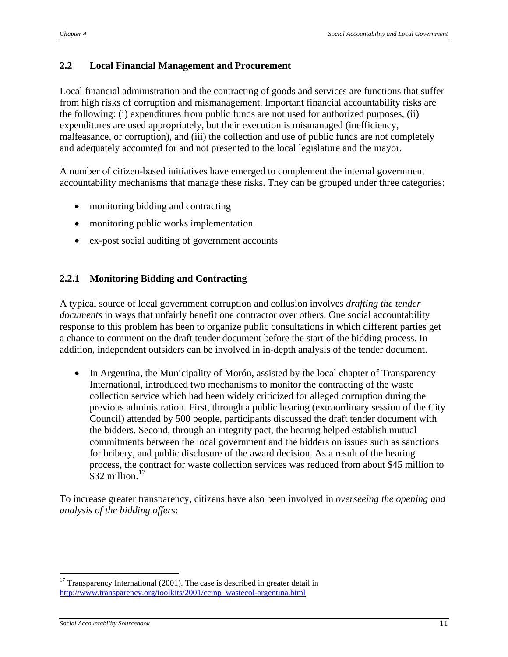## **2.2 Local Financial Management and Procurement**

Local financial administration and the contracting of goods and services are functions that suffer from high risks of corruption and mismanagement. Important financial accountability risks are the following: (i) expenditures from public funds are not used for authorized purposes, (ii) expenditures are used appropriately, but their execution is mismanaged (inefficiency, malfeasance, or corruption), and (iii) the collection and use of public funds are not completely and adequately accounted for and not presented to the local legislature and the mayor.

A number of citizen-based initiatives have emerged to complement the internal government accountability mechanisms that manage these risks. They can be grouped under three categories:

- monitoring bidding and contracting
- monitoring public works implementation
- ex-post social auditing of government accounts

## **2.2.1 Monitoring Bidding and Contracting**

A typical source of local government corruption and collusion involves *drafting the tender documents* in ways that unfairly benefit one contractor over others. One social accountability response to this problem has been to organize public consultations in which different parties get a chance to comment on the draft tender document before the start of the bidding process. In addition, independent outsiders can be involved in in-depth analysis of the tender document.

• In Argentina, the Municipality of Morón, assisted by the local chapter of Transparency International, introduced two mechanisms to monitor the contracting of the waste collection service which had been widely criticized for alleged corruption during the previous administration. First, through a public hearing (extraordinary session of the City Council) attended by 500 people, participants discussed the draft tender document with the bidders. Second, through an integrity pact, the hearing helped establish mutual commitments between the local government and the bidders on issues such as sanctions for bribery, and public disclosure of the award decision. As a result of the hearing process, the contract for waste collection services was reduced from about \$45 million to  $$32$  million<sup>[17](#page-0-0)</sup>

To increase greater transparency, citizens have also been involved in *overseeing the opening and analysis of the bidding offers*:

 $\overline{a}$ 

<span id="page-0-0"></span> $17$  Transparency International (2001). The case is described in greater detail in [http://www.transparency.org/toolkits/2001/ccinp\\_wastecol-argentina.html](http://www.transparency.org/toolkits/2001/ccinp_wastecol-argentina.html)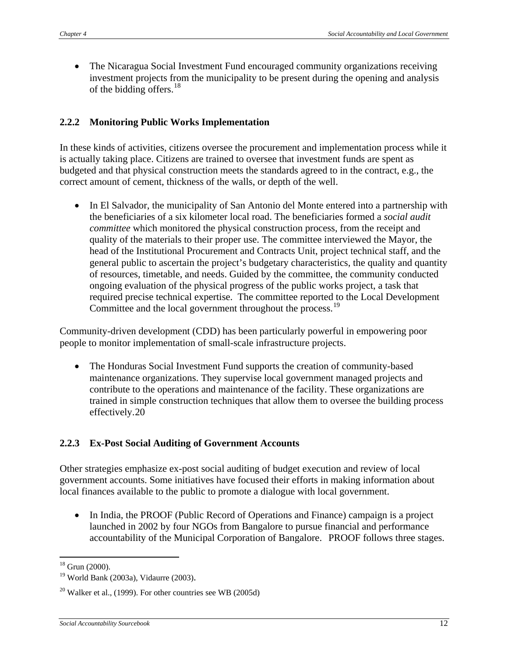• The Nicaragua Social Investment Fund encouraged community organizations receiving investment projects from the municipality to be present during the opening and analysis of the bidding offers. $18$ 

## **2.2.2 Monitoring Public Works Implementation**

In these kinds of activities, citizens oversee the procurement and implementation process while it is actually taking place. Citizens are trained to oversee that investment funds are spent as budgeted and that physical construction meets the standards agreed to in the contract, e.g., the correct amount of cement, thickness of the walls, or depth of the well.

• In El Salvador, the municipality of San Antonio del Monte entered into a partnership with the beneficiaries of a six kilometer local road. The beneficiaries formed a *social audit committee* which monitored the physical construction process, from the receipt and quality of the materials to their proper use. The committee interviewed the Mayor, the head of the Institutional Procurement and Contracts Unit, project technical staff, and the general public to ascertain the project's budgetary characteristics, the quality and quantity of resources, timetable, and needs. Guided by the committee, the community conducted ongoing evaluation of the physical progress of the public works project, a task that required precise technical expertise. The committee reported to the Local Development Committee and the local government throughout the process.<sup>[19](#page-1-1)</sup>

Community-driven development (CDD) has been particularly powerful in empowering poor people to monitor implementation of small-scale infrastructure projects.

• The Honduras Social Investment Fund supports the creation of community-based maintenance organizations. They supervise local government managed projects and contribute to the operations and maintenance of the facility. These organizations are trained in simple construction techniques that allow them to oversee the building process effectively.[20](#page-1-2)

## **2.2.3 Ex-Post Social Auditing of Government Accounts**

Other strategies emphasize ex-post social auditing of budget execution and review of local government accounts. Some initiatives have focused their efforts in making information about local finances available to the public to promote a dialogue with local government.

• In India, the PROOF (Public Record of Operations and Finance) campaign is a project launched in 2002 by four NGOs from Bangalore to pursue financial and performance accountability of the Municipal Corporation of Bangalore. PROOF follows three stages.

 $\overline{a}$  $18$  Grun (2000).

<span id="page-1-1"></span><span id="page-1-0"></span><sup>19</sup> World Bank (2003a), Vidaurre (2003).

<span id="page-1-2"></span> $20$  Walker et al., (1999). For other countries see WB (2005d)